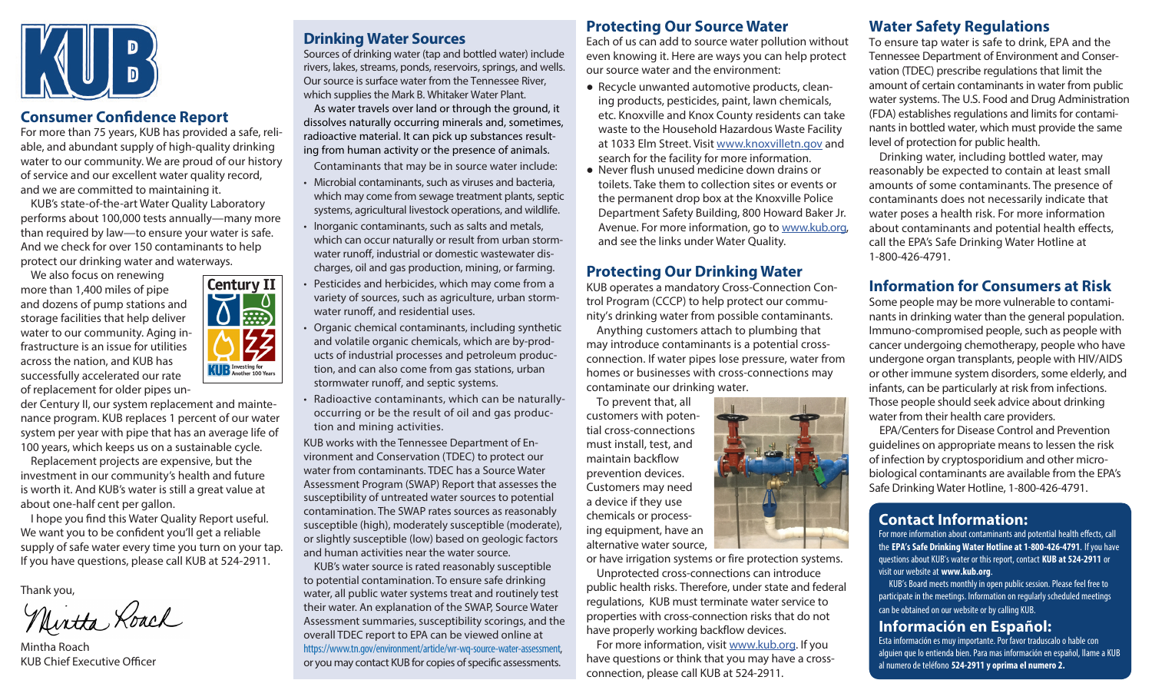

# **Consumer Confidence Report**

For more than 75 years, KUB has provided a safe, reliable, and abundant supply of high-quality drinking water to our community. We are proud of our history of service and our excellent water quality record, and we are committed to maintaining it.

KUB's state-of-the-art Water Quality Laboratory performs about 100,000 tests annually—many more than required by law—to ensure your water is safe. And we check for over 150 contaminants to help protect our drinking water and waterways.

We also focus on renewing more than 1,400 miles of pipe and dozens of pump stations and storage facilities that help deliver water to our community. Aging infrastructure is an issue for utilities across the nation, and KUB has successfully accelerated our rate of replacement for older pipes un-

**Century II**  $\frac{1}{\sin 2}$  $\frac{25}{2}$ **KUD** Investing for<br>Another 100 Years

der Century II, our system replacement and maintenance program. KUB replaces 1 percent of our water system per year with pipe that has an average life of 100 years, which keeps us on a sustainable cycle.

Replacement projects are expensive, but the investment in our community's health and future is worth it. And KUB's water is still a great value at about one-half cent per gallon.

I hope you find this Water Quality Report useful. We want you to be confident you'll get a reliable supply of safe water every time you turn on your tap. If you have questions, please call KUB at 524-2911.

Thank you,<br>Mirtha Roach

Mintha Roach KUB Chief Executive Officer

# **Drinking Water Sources**

Sources of drinking water (tap and bottled water) include rivers, lakes, streams, ponds, reservoirs, springs, and wells. Our source is surface water from the Tennessee River, which supplies the Mark B. Whitaker Water Plant.

As water travels over land or through the ground, it dissolves naturally occurring minerals and, sometimes, radioactive material. It can pick up substances resulting from human activity or the presence of animals.

Contaminants that may be in source water include:

- Microbial contaminants, such as viruses and bacteria, which may come from sewage treatment plants, septic systems, agricultural livestock operations, and wildlife.
- Inorganic contaminants, such as salts and metals, which can occur naturally or result from urban stormwater runoff, industrial or domestic wastewater discharges, oil and gas production, mining, or farming.
- Pesticides and herbicides, which may come from a variety of sources, such as agriculture, urban stormwater runoff, and residential uses.
- Organic chemical contaminants, including synthetic and volatile organic chemicals, which are by-products of industrial processes and petroleum production, and can also come from gas stations, urban stormwater runoff, and septic systems.
- Radioactive contaminants, which can be naturallyoccurring or be the result of oil and gas production and mining activities.

KUB works with the Tennessee Department of Environment and Conservation (TDEC) to protect our water from contaminants. TDEC has a Source Water Assessment Program (SWAP) Report that assesses the susceptibility of untreated water sources to potential contamination. The SWAP rates sources as reasonably susceptible (high), moderately susceptible (moderate), or slightly susceptible (low) based on geologic factors and human activities near the water source.

KUB's water source is rated reasonably susceptible to potential contamination. To ensure safe drinking water, all public water systems treat and routinely test their water. An explanation of the SWAP, Source Water Assessment summaries, susceptibility scorings, and the overall TDEC report to EPA can be viewed online at <https://www.tn.gov/environment/article/wr-wq-source-water-assessment>, or you may contact KUB for copies of specific assessments.

### **Protecting Our Source Water**

Each of us can add to source water pollution without even knowing it. Here are ways you can help protect our source water and the environment:

- Recycle unwanted automotive products, cleaning products, pesticides, paint, lawn chemicals, etc. Knoxville and Knox County residents can take waste to the Household Hazardous Waste Facility at 1033 Elm Street. Visit [www.knoxvilletn.gov](http://www.knoxvilletn.gov) and search for the facility for more information.
- Never flush unused medicine down drains or toilets. Take them to collection sites or events or the permanent drop box at the Knoxville Police Department Safety Building, 800 Howard Baker Jr. Avenue. For more information, go to [www.kub.org,](http://www.kub.org) and see the links under Water Quality.

### **Protecting Our Drinking Water**

KUB operates a mandatory Cross-Connection Control Program (CCCP) to help protect our community's drinking water from possible contaminants.

Anything customers attach to plumbing that may introduce contaminants is a potential crossconnection. If water pipes lose pressure, water from homes or businesses with cross-connections may contaminate our drinking water.

To prevent that, all customers with potential cross-connections must install, test, and maintain backflow prevention devices. Customers may need a device if they use chemicals or processing equipment, have an alternative water source,

or have irrigation systems or fire protection systems.

Unprotected cross-connections can introduce public health risks. Therefore, under state and federal regulations, KUB must terminate water service to properties with cross-connection risks that do not have properly working backflow devices.

For more information, visit [www.kub.org](http://www.kub.org). If you have questions or think that you may have a crossconnection, please call KUB at 524-2911.

# **Water Safety Regulations**

To ensure tap water is safe to drink, EPA and the Tennessee Department of Environment and Conservation (TDEC) prescribe regulations that limit the amount of certain contaminants in water from public water systems. The U.S. Food and Drug Administration (FDA) establishes regulations and limits for contaminants in bottled water, which must provide the same level of protection for public health.

Drinking water, including bottled water, may reasonably be expected to contain at least small amounts of some contaminants. The presence of contaminants does not necessarily indicate that water poses a health risk. For more information about contaminants and potential health effects, call the EPA's Safe Drinking Water Hotline at 1-800-426-4791.

# **Information for Consumers at Risk**

Some people may be more vulnerable to contaminants in drinking water than the general population. Immuno-compromised people, such as people with cancer undergoing chemotherapy, people who have undergone organ transplants, people with HIV/AIDS or other immune system disorders, some elderly, and infants, can be particularly at risk from infections. Those people should seek advice about drinking water from their health care providers.

EPA/Centers for Disease Control and Prevention guidelines on appropriate means to lessen the risk of infection by cryptosporidium and other microbiological contaminants are available from the EPA's Safe Drinking Water Hotline, 1-800-426-4791.

# **Contact Information:**

For more information about contaminants and potential health effects, call the **EPA's Safe Drinking Water Hotline at 1-800-426-4791**. If you have questions about KUB's water or this report, contact **KUB at 524-2911** or visit our website at **[www.kub.org](http://www.kub.org)**.

KUB's Board meets monthly in open public session. Please feel free to participate in the meetings. Information on regularly scheduled meetings can be obtained on our website or by calling KUB.

# **Información en Español:**

Esta información es muy importante. Por favor traduscalo o hable con alguien que lo entienda bien. Para mas información en español, llame a KUB al numero de teléfono **524-2911 y oprima el numero 2.**